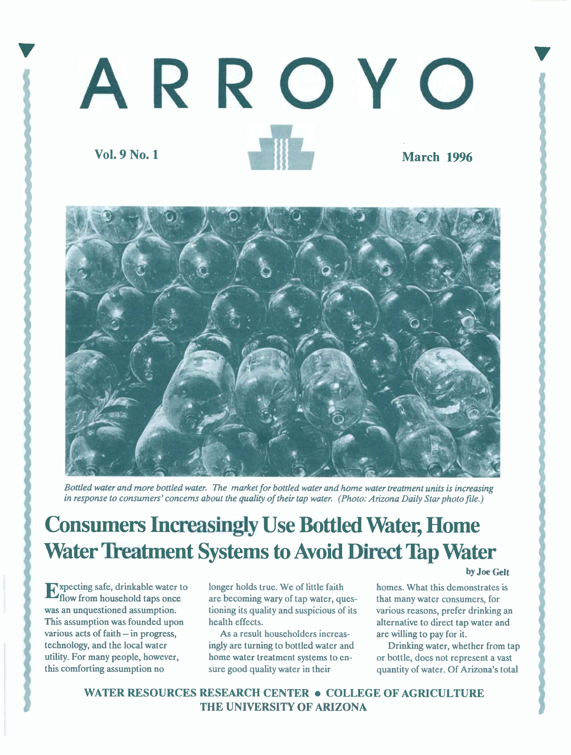



Bottled water and more bottled water. The market for bottled water and home water treatment units is increasing in response to consumers' concerns about the quality of their tap water. (Photo: Arizona Daily Star photo file.)

# Consumers Increasingly Use Botfied Water, Home Water Treatment Systems to Avoid Direct Tap Water

Follow from household taps once longer holds true. We of little faith homes. What this demonstrates is are becoming wary of tap water, ques-<br>
flow from household taps once are becoming wary of tap water, ques-<br>
that many w various acts of faith - in progress, As a result householders increas- are willing to pay for it.

are becoming wary of tap water, queswas an unquestioned assumption. itioning its quality and suspicious of its various reasons, prefer drinking an This assumption was founded upon health effects. This assumption was founded upon health effects.

technology, and the local water ingly are turning to bottled water and Drinking water, whether from tap utility. For many people, however, home water treatment systems to en- or bottle, does not represent a vast this comforting assumption no sure good quality water in their quantity of water. Of Arizona's total

by Joe Gelt

WATER RESOURCES RESEARCH CENTER . COLLEGE OF AGRICULTURE THE UNIVERSITY OF ARIZONA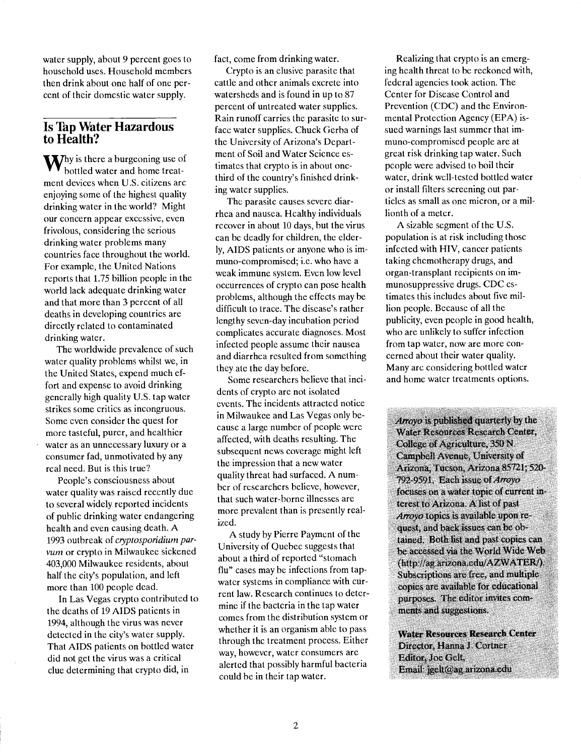water supply, about 9 percent goes to household uses. Household members then drink about one half of one percent of their domestic water supply.

### **Is Tap Water Hazardous** to Health?

y is there a burgeoning use of bottled water and home treatment devices when U.S. citizens arc enjoying some of the highest quality drinking water in the world? Might our concern appear excessive, even frivolous, considering the serious drinking water problems many countries face throughout the world. For example, the United Nations reports that 1.75 billion people in the world lack adequate drinking water and that more than 3 percent of all deaths in developing countries are directly related to contaminated drinking water.

The worldwide prevalence of such water quality problems whilst we, in the United States, expend much effort and expense to avoid drinking generally high quality U.S. tap water strikes some critics as incongruous. Some even consider the quest for more tasteful, purer, and healthier water as an unnecessary luxury or a consumer fad, unmotivated by any real need. But is this true?

People's consciousness about water quality was raised recently due to several widely reported incidents of public drinking water endangering health and even causing death. A 1993 outbreak of cryptosporidium parvum or crypto in Milwaukee sickened 403,000 Milwaukee residents, about half the city's population, and left more than 100 people dead.

In Las Vegas crypto contributed to the deaths of 19 AIDS patients in 1994, although the virus was never detected in the city's water supply. That AIDS patients on bottled water did not get the virus was a critical clue determining that crypto did, in

fact, come from drinking water.

Crypto is an elusive parasite that cattle and other animals excrete into watersheds and is found in up to 87 percent of untreated water supplies. Rain runoff carries the parasite to surface water supplies. Chuck Gerba of the University of Arizona's Department of Soil and Water Science estimates that crypto is in about onethird of the country's finished drinking water supplies.

The parasite causes severe diarrhea and nausea. Healthy individuals recover in about 10 days, but the virus can be deadly for children, the elderly, AIDS patients or anyone who is immuno-compromised; i.e. who have a weak immune system. Even low level occurrences of crypto can pose health problems, although the effects may be difficult to trace. The disease's rather lengthy seven-day incubation period complicates accurate diagnoses. Most infected people assume their nausea and diarrhea resulted from something they ate the day before.

Some researchers believe that incidents of crypto are not isolated events. The incidents attracted notice in Milwaukee and Las Vegas only because a large number of people were affected, with deaths resulting. The subsequent news coverage might left the impression that a new water quality threat had surfaced. A number of researchers believe, however, that such water-borne illnesses are more prevalent than is presently realized.

A study by Pierre Payment of the University of Quebec suggests that about a third of reported "stomach flu" cases may be infections from tapwater systems in compliance with current law. Research continues to determine if the bacteria in the tap water comes from the distribution system or whether it is an organism able to pass through the treatment process. Either way, however, water consumers are alerted that possibly harmful bacteria could be in their tap water.

Realizing that crypto is an emerging health threat to be reckoned with, federal agencies took action. The Center for Disease Control and Prevention (CDC) and the Environmental Protection Agency (EPA) issued warnings last summer that immuno-compromised people are at great risk drinking tap water. Such people were advised to boil their water, drink well-tested bottled water or install filters screening out particles as small as one micron, or a millionth of a meter.

A sizable segment of the U.S. population is at risk including those infected with HIV, cancer patients taking chemotherapy drugs, and organ-transplant recipients on immunosuppressive drugs. CDC estimates this includes about five million people. Because of all the publicity, even people in good health, who are unlikely to suffer infection from tap water, now are more concerned about their water quality. Many are considering bottled water and home water treatments options.

Arrovo is published quarterly by the Water Resources Research Center, College of Agriculture, 350 N. Campbell Avenue, University of Arizona, Tucson, Arizona 85721; 520- 792-9591. Each issue of Arroyo focuses on a water topic of current interest to Arizona, A list of past Arroyo topics is available upon request, and back issues can be obtained. Both list and past copies can be accessed via the World Wide Web (http://ag.arizona.edu/AZWATER/). Subscriptions are free, and multiple copies are available for educational purposes. The editor invites comments and suggestions.

Water Resources Research Center Director, Hanna J. Cortner Editor, Joe Gelt, Email: jgelt@ag.arizona.edu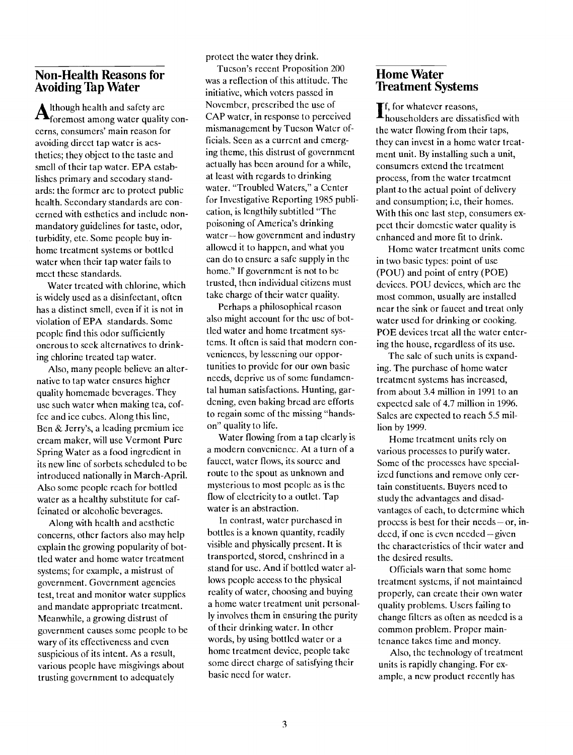#### Non-Health Reasons for Avoiding Tap Water

Although health and safety are<br> $A_{\text{foremost among water quality con-}}$ foremost among water quality concerns, consumers' main reason for avoiding direct tap water is aesthetics; they object to the taste and smell of their tap water. EPA establishes primary and secodary standards: the former are to protect public health. Secondary standards are concerned with esthetics and include nonmandatory guidelines for taste, odor, turbidity, etc. Some people buy inhome treatment systems or bottled water when their tap water fails to meet these standards.

Water treated with chlorine, which is widely used as a disinfectant, often has a distinct smell, even if it is not in violation of EPA standards. Some people find this odor sufficiently onerous to seek alternatives to drinking chlorine treated tap water.

Also, many people believe an alternative to tap water ensures higher quality homemade beverages. They use such water when making tea, coffee and ice cubes. Along this line, Ben & Jerry's, a leading premium ice cream maker, will use Vermont Pure Spring Water as a food ingredient in its new line of sorbets scheduled to be introduced nationally in March-April. Also some people reach for bottled water as a healthy substitute for caffeinated or alcoholic beverages.

Along with health and aesthetic concerns, other factors also may help explain the growing popularity of bottled water and home water treatment systems; for example, a mistrust of government. Government agencies test, treat and monitor water supplies and mandate appropriate treatment. Meanwhile, a growing distrust of government causes some people to be wary of its effectiveness and even suspicious of its intent. As a result, various people have misgivings about trusting government to adequately

protect the water they drink.

Tucson's recent Proposition 200 was a reflection of this attitude. The initiative, which voters passed in November, prescribed the use of CAP water, in response to perceived mismanagement by Tucson Water officials. Seen as a current and emerging theme, this distrust of government actually has been around for a while, at least with regards to drinking water. "Troubled Waters," a Center for Investigative Reporting 1985 publication, is lengthily subtitled "The poisoning of America's drinking water-how government and industry allowed it to happen, and what you can do to ensure a safe supply in the home." If government is not to be trusted, then individual citizens must take charge of their water quality.

Perhaps a philosophical reason also might account for the use of bottled water and home treatment systems. It often is said that modern conveniences, by lessening our opportunities to provide for our own basic needs, deprive us of some fundamental human satisfactions. Hunting, gardening, even baking bread are efforts to regain some of the missing "handson" quality to life.

Water flowing from a tap clearly is a modern convenience. At a turn of a faucet, water flows, its source and route to the spout as unknown and mysterious to most people as is the flow of electricity to a outlet. Tap water is an abstraction.

In contrast, water purchased in bottles is a known quantity, readily visible and physically present. lt is transported, stored, enshrined in a stand for use. And if bottled water allows people access to the physical reality of water, choosing and buying a home water treatment unit personally involves them in ensuring the purity of their drinking water. In other words, by using bottled water or a home treatment device, people take some direct charge of satisfying their basic need for water.

## Home Water **Treatment Systems**

for whatever reasons, householders are dissatisfied with the water flowing from their taps, they can invest in a home water treatment unit. By installing such a unit, consumers extend the treatment process, from the water treatment plant to the actual point of delivery and consumption; i.e, their homes. With this one last step, consumers expect their domestic water quality is enhanced and more fit to drink.

Home water treatment units come in two basic types: point of use (POU) and point of entry (POE) devices. POU devices, which are the most common, usually are installed near the sink or faucet and treat only water used for drinking or cooking. POE devices treat all the water entering the house, regardless of its use.

The sale of such units is expanding. The purchase of home water treatment systems has increased, from about 3.4 million in 1991 to an expected sale of 4.7 million in 1996. Sales are expected to reach 5.5 million by 1999.

Home treatment units rely on various processes to purify water. Some of the processes have specialized functions and remove only certain constituents. Buyers need to study the advantages and disadvantages of each, to determine which process is best for their needs  $-$  or, in- $\text{d} \text{e} \text{e} \text{d}$ , if one is even needed  $-\text{given}$ the characteristics of their water and the desired results.

Officials warn that some home treatment systems, if not maintained properly, can create their own water quality problems. Users failing to change filters as often as needed is a common problem. Proper maintenance takes time and money.

Also, the technology of treatment units is rapidly changing. For example, a new product recently has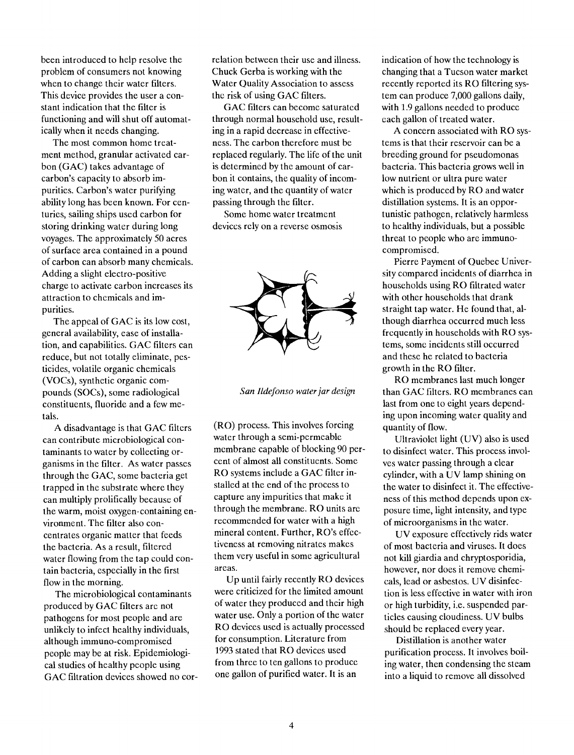been introduced to help resolve the problem of consumers not knowing when to change their water filters. This device provides the user a constant indication that the filter is functioning and will shut off automatically when it needs changing.

The most common home treatment method, granular activated carbon (GAC) takes advantage of carbon's capacity to absorb impurities. Carbon's water purifying ability long has been known. For centuries, sailing ships used carbon for storing drinking water during long voyages. The approximately 50 acres of surface area contained in a pound of carbon can absorb many chemicals. Adding a slight electro-positive charge to activate carbon increases its attraction to chemicals and impurities.

The appeal of GAC is its low cost, general availability, ease of installation, and capabilities. GAC filters can reduce, but not totally eliminate, pesticides, volatile organic chemicals (VOCs), synthetic organic compounds (SOCs), some radiological constituents, fluoride and a few metals.

A disadvantage is that GAC filters can contribute microbiological contaminants to water by collecting organisms in the filter. As water passes through the GAC, some bacteria get trapped in the substrate where they can multiply prolifically because of the warm, moist oxygen-containing environment. The filter also concentrates organic matter that feeds the bacteria. As a result, filtered water flowing from the tap could contain bacteria, especially in the first flow in the morning.

The microbiological contaminants produced by GAC filters are not pathogens for most people and are unlikely to infect healthy individuals, although immuno-compromised people may be at risk. Epidemiological studies of healthy people using GAC filtration devices showed no cor-

relation between their use and illness. Chuck Gerba is working with the Water Quality Association to assess the risk of using GAC filters.

GAC filters can become saturated through normal household use, resulting in a rapid decrease in effectiveness. The carbon therefore must be replaced regularly. The life of the unit is determined by the amount of carbon it contains, the quality of incoming water, and the quantity of water passing through the filter.

Some home water treatment devices rely on a reverse osmosis



San Ildefonso water jar design

(RO) process. This involves forcing water through a semi-permeable membrane capable of blocking 90 percent of almost all constituents. Some RO systems include a GAC filter installed at the end of the process to capture any impurities that make it through the membrane. RO units are recommended for water with a high mineral content. Further, RO's effectiveness at removing nitrates makes them very useful in some agricultural areas.

Up until fairly recently RO devices were criticized for the limited amount of water they produced and their high water use. Only a portion of the water RO devices used is actually processed for consumption. Literature from 1993 stated that RO devices used from three to ten gallons to produce one gallon of purified water. It is an

indication of how the technology is changing that a Tucson water market recently reported its RO filtering system can produce 7,000 gallons daily, with 1.9 gallons needed to produce each gallon of treated water.

A concern associated with RO systems is that their reservoir can be a breeding ground for pseudomonas bacteria. This bacteria grows well in low nutrient or ultra pure water which is produced by RO and water distillation systems. It is an opportunistic pathogen, relatively harmless to healthy individuals, but a possible threat to people who are immunocompromised.

Pierre Payment of Quebec University compared incidents of diarrhea in households using RO filtrated water with other households that drank straight tap water. He found that, although diarrhea occurred much less frequently in households with RO systems, some incidents still occurred and these he related to bacteria growth in the RO filter.

RO membranes last much longer than GAC filters. RO membranes can last from one to eight years depending upon incoming water quality and quantity of flow.

Ultraviolet light (UV) also is used to disinfect water. This process involves water passing through a clear cylinder, with a UV lamp shining on the water to disinfect it. The effectiveness of this method depends upon exposure time, light intensity, and type of microorganisms in the water.

UV exposure effectively rids water of most bacteria and viruses. It does not kill giardia and chryptosporidia, however, nor does it remove chemicals, lead or asbestos. UV disinfection is less effective in water with iron or high turbidity, i.e. suspended particles causing cloudiness. UV bulbs should be replaced every year.

Distillation is another water purification process. It involves boiling water, then condensing the steam into a liquid to remove all dissolved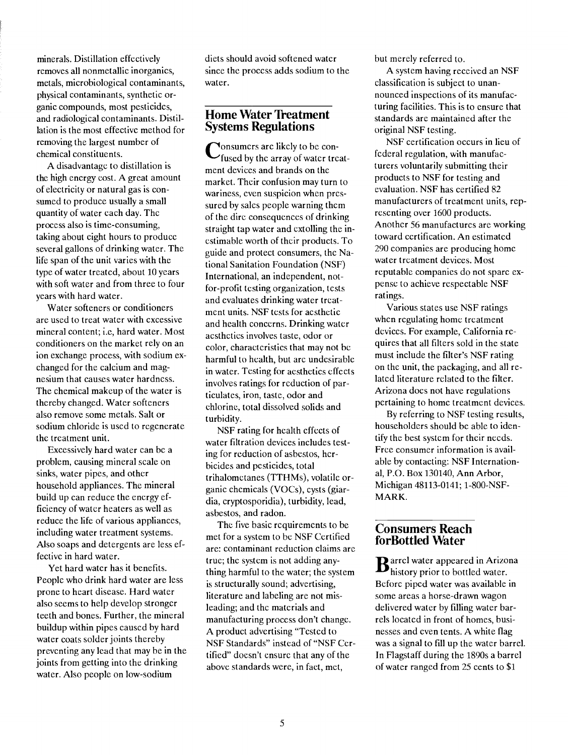minerals. Distillation effectively removes all nonmetallic inorganics, metals, microbiological contaminants, physical contaminants, synthetic organic compounds, most pesticides, and radiological contaminants. Distillation is the most effective method for removing the largest number of chemical constituents.

A disadvantage to distillation is the high energy cost. A great amount of electricity or natural gas is consumed to produce usually a small quantity of water each day. The process also is time-consuming, taking about eight hours to produce several gallons of drinking water. The life span of the unit varies with the type of water treated, about 10 years with soft water and from three to four years with hard water.

Water softeners or conditioners are used to treat water with excessive mineral content; i.e, hard water. Most conditioners on the market rely on an ion exchange process, with sodium exchanged for the calcium and magnesium that causes water hardness. The chemical makeup of the water is thereby changed. Water softeners also remove some metals. Salt or sodium chloride is used to regenerate the treatment unit.

Excessively hard water can be a problem, causing mineral scale on sinks, water pipes, and other household appliances. The mineral build up can reduce the energy efficiency of water heaters as well as reduce the life of various appliances, including water treatment systems. Also soaps and detergents are less effective in hard water.

Yet hard water has it benefits. People who drink hard water are less prone to heart disease. Hard water also seems to help develop stronger teeth and bones. Further, the mineral buildup within pipes caused by hard water coats solder joints thereby preventing any lead that may be in the joints from getting into the drinking water. Also people on low-sodium

diets should avoid softened water since the process adds sodium to the water.

### **Home Water Treatment** Systems Regulations

 $\bigcup$  fused by the array of water treat **Nonsumers are likely to be con**ment devices and brands on the market. Their confusion may turn to wariness, even suspicion when pressured by sales people warning them of the dire consequences of drinking straight tap water and extolling the inestimable worth of their products. To guide and protect consumers, the National Sanitation Foundation (NSF) International, an independent, notfor-profit testing organization, tests and evaluates drinking water treatment units. NSF tests for aesthetic and health concerns. Drinking water aesthetics involves taste, odor or color, characteristics that may not be harmful to health, but are undesirable in water. Testing for aesthetics effects involves ratings for reduction of particulates, iron, taste, odor and chlorine, total dissolved solids and turbidity.

NSF rating for health effects of water filtration devices includes testing for reduction of asbestos, herbicides and pesticides, total trihalometanes (TTHMs), volatile organic chemicals (VOCs), cysts (giardia, cryptosporidia), turbidity, lead, asbestos, and radon.

The five basic requirements to he met for a system to be NSF Certified are: contaminant reduction claims are true; the system is not adding anything harmful to the water; the system is structurally sound; advertising, literature and labeling are not misleading; and the materials and manufacturing process don't change. A product advertising "Tested to NSF Standards" instead of "NSF Certified" doesn't ensure that any of the above standards were, in fact, met,

but merely referred to.

A system having received an NSF classification is subject to unannounced inspections of its manufacturing facilities. This is to ensure that standards are maintained after the original NSF testing.

NSF certification occurs in lieu of federal regulation, with manufacturers voluntarily submitting their products to NSF for testing and evaluation. NSF has certified 82 manufacturers of treatment units, representing over 1600 products. Another 56 manufactures are working toward certification. An estimated 290 companies are producing home water treatment devices. Most reputable companies do not spare expense to achieve respectable NSF ratings.

Various states use NSF ratings when regulating home treatment devices. For example, California requires that all filters sold in the state must include the filter's NSF rating on the unit, the packaging, and all related literature related to the filter. Arizona does not have regulations pertaining to home treatment devices.

By referring to NSF testing results, householders should be able to identify the best system for their needs. Free consumer information is available by contacting: NSF International, P.O. Box 130140, Ann Arbor, Michigan 48113-0141; 1-800-NSF-MARK.

#### Consumers Reach forBottled Water

 $\mathbf{B}$ arrel water appeared in Arizona<br>history prior to bottled water. Before piped water was available in some areas a horse-drawn wagon delivered water by filling water barrels located in front of homes, businesses and even tents. A white flag was a signal to fill up the water barrel. In Flagstaff during the 1890s a barrel of water ranged from 25 cents to \$1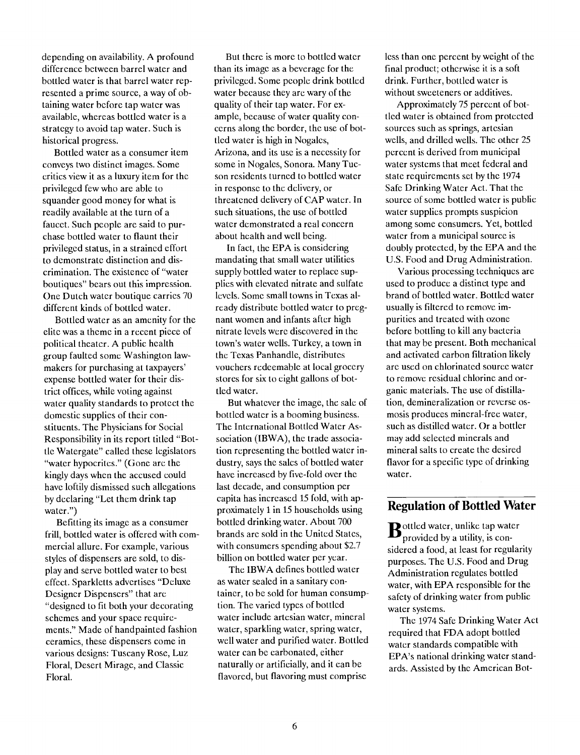depending on availability. A profound difference between barrel water and bottled water is that barrel water represented a prime source, a way of obtaining water before tap water was available, whereas bottled water is a strategy to avoid tap water. Such is historical progress.

Bottled water as a consumer item conveys two distinct images. Some critics view it as a luxury item for the privileged few who are able to squander good money for what is readily available at the turn of a faucet. Such people are said to purchase bottled water to flaunt their privileged status, in a strained effort to demonstrate distinction and discrimination. The existence of "water boutiques" bears out this impression. One Dutch water boutique carries 70 different kinds of bottled water.

Bottled water as an amenity for the elite was a theme in a recent piece of political theater. A public health group faulted some Washington lawmakers for purchasing at taxpayers' expense bottled water for their district offices, while voting against water quality standards to protect the domestic supplies of their constituents. The Physicians for Social Responsibility in its report titled "Bottle Watergate" called these legislators "water hypocrites." (Gone are the kingly days when the accused could have loftily dismissed such allegations by declaring "Let them drink tap water.")

Befitting its image as a consumer frill, bottled water is offered with commercial allure. For example, various styles of dispensers are sold, to display and serve bottled water to best effect. Sparkletts advertises "Deluxe Designer Dispensers" that are "designed to fit both your decorating schemes and your space requirements." Made of handpainted fashion ceramics, these dispensers come in various designs: Tuscany Rose, Luz Floral, Desert Mirage, and Classic Floral.

But there is more to bottled water than its image as a beverage for the privileged. Some people drink bottled water because they are wary of the quality of their tap water. For example, because of water quality concerns along the border, the use of bottled water is high in Nogales, Arizona, and its use is a necessity for some in Nogales, Sonora. Many Tucson residents turned to bottled water in response to the delivery, or threatened delivery of CAP water. In such situations, the use of bottled water demonstrated a real concern about health and well being.

In fact, the EPA is considering mandating that small water utilities supply bottled water to replace supplies with elevated nitrate and sulfate levels. Some small towns in Texas already distribute bottled water to pregnant women and infants after high nitrate levels were discovered in the town's water wells. Turkey, a town in the Texas Panhandle, distributes vouchers redeemable at local grocery stores for six to eight gallons of bottled water.

But whatever the image, the sale of bottled water is a booming business. The International Bottled Water Association (IBWA), the trade association representing the bottled water industry, says the sales of bottled water have increased by five-fold over the last decade, and consumption per capita has increased 15 fold, with approximately 1 in 15 households using bottled drinking water. About 700 brands are sold in the United States, with consumers spending about \$2.7 billion on bottled water per year.

The IBWA defines bottled water as water sealed in a sanitary container, to be sold for human consumption. The varied types of bottled water include artesian water, mineral water, sparkling water, spring water, well water and purified water. Bottled water can be carbonated, either naturally or artificially, and it can be flavored, but flavoring must comprise

less than one percent by weight of the final product; otherwise it is a soft drink. Further, bottled water is without sweeteners or additives.

Approximately 75 percent of bottled water is obtained from protected sources such as springs, artesian wells, and drilled wells. The other 25 percent is derived from municipal water systems that meet federal and state requirements set by the 1974 Safe Drinking Water Act. That the source of some bottled water is public water supplies prompts suspicion among some consumers. Yet, bottled water from a municipal source is doubly protected, by the EPA and the U.S. Food and Drug Administration.

Various processing techniques are used to produce a distinct type and brand of bottled water, Bottled water usually is filtered to remove impurities and treated with ozone before bottling to kill any bacteria that may be present. Both mechanical and activated carbon filtration likely are used on chlorinated source water to remove residual chlorine and organic materials. The use of distillation, demineralization or reverse osmosis produces mineral-free water, such as distilled water. Or a bottler may add selected minerals and mineral salts to create the desired flavor for a specific type of drinking water.

#### Regulation of Bottled Water

 $\mathbf{B}$ ottled water, unlike tap water<br>provided by a utility, is considered a food, at least for regularity purposes. The U.S. Food and Drug Administration regulates bottled water, with EPA responsible for the safety of drinking water from public water systems.

The 1974 Safe Drinking Water Act required that FDA adopt bottled water standards compatible with EPA's national drinking water standards. Assisted by the American Bot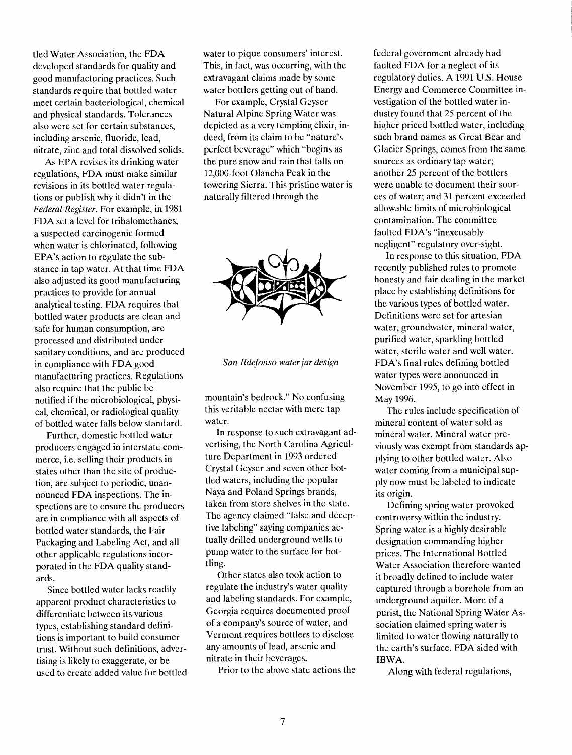tied Water Association, the FDA developed standards for quality and good manufacturing practices. Such standards require that bottled water meet certain bacteriological, chemical and physical standards. Tolerances also were set for certain substances, including arsenic, fluoride, lead, nitrate, zinc and total dissolved solids.

As EPA revises its drinking water regulations, FDA must make similar revisions in its bottled water regulations or publish why it didn't in the Federal Register. For example, in 1981 FDA set a level for trihalomethanes, a suspected carcinogenic formed when water is chlorinated, following EPA's action to regulate the substance in tap water. At that time FDA also adjusted its good manufacturing practices to provide for annual analytical testing. FDA requires that bottled water products are clean and safe for human consumption, are processed and distributed under sanitary conditions, and arc produced in compliance with FDA good manufacturing practices. Regulations also require that the public be notified if the microbiological, physical, chemical, or radiological quality of bottled water falls below standard.

Further, domestic bottled water producers engaged in interstate commerce, i.e. selling their products in states other than the site of production, are subject to periodic, unannounced FDA inspections. The inspections are to ensure the producers are in compliance with all aspects of bottled water standards, the Fair Packaging and Labeling Act, and all other applicable regulations incorporated in the FDA quality standards.

Since bottled water lacks readily apparent product characteristics to differentiate between its various types, establishing standard definitions is important to build consumer trust. Without such definitions, advertising is likely to exaggerate, or be used to create added value for bottled water to pique consumers' interest. This, in fact, was occurring, with the extravagant claims made by some water bottlers getting out of hand.

For example, Crystal Geyser Natural Alpine Spring Water was depicted as a very tempting elixir, indeed, from its claim to be "nature's perfect beverage" which "begins as the pure snow and rain that falls on 12,000-foot Olancha Peak in the towering Sierra. This pristine water is naturally filtered through the



San Ildefonso water jar design

mountain's bedrock." No confusing this veritable nectar with mere tap water.

In response to such extravagant advertising, the North Carolina Agriculturc Department in 1993 ordered Crystal Geyser and seven other bottled waters, including the popular Naya and Poland Springs brands, taken from store shelves in the state. The agency claimed "false and deceptive labeling" saying companies actually drilled underground wells to pump water to the surface for bottling.

Other states also took action to regulate the industry's water quality and labeling standards. For example, Georgia requires documented proof of a company's source of water, and Vermont requires bottlers to disclose any amounts of lead, arsenic and nitrate in their beverages.

Prior to the above state actions the

federal government already had faulted FDA for a neglect of its regulatory duties. A 1991 U.S. House Energy and Commerce Committee investigation of the bottled water industry found that 25 percent of the higher priced bottled water, including such brand names as Great Bear and Glacier Springs, comes from the same sources as ordinary tap water; another 25 percent of the bottlers were unable to document their sources of water; and 31 percent exceeded allowable limits of microbiological contamination. The committee faulted FDA's "inexcusably negligent" regulatory over-sight.

In response to this situation, FDA recently published rules to promote honesty and fair dealing in the market place by establishing definitions for the various types of bottled water. Definitions were set for artesian water, groundwater, mineral water, purified water, sparkling bottled water, sterile water and well water. FDA's final rules defining bottled water types were announced in November 1995, to go into effect in May 1996.

The rules include specification of mineral content of water sold as mineral water. Mineral water previously was exempt from standards applying to other bottled water. Also water coming from a municipal supply now must be labeled to indicate its origin.

Defining spring water provoked controversy within the industry. Spring water is a highly desirable designation commanding higher prices. The International Bottled Water Association therefore wanted it broadly defined to include water captured through a borehole from an underground aquifer. More of a purist, the National Spring Water Association claimed spring water is limited to water flowing naturally to the earth's surface. FDA sided with IBWA.

Along with federal regulations,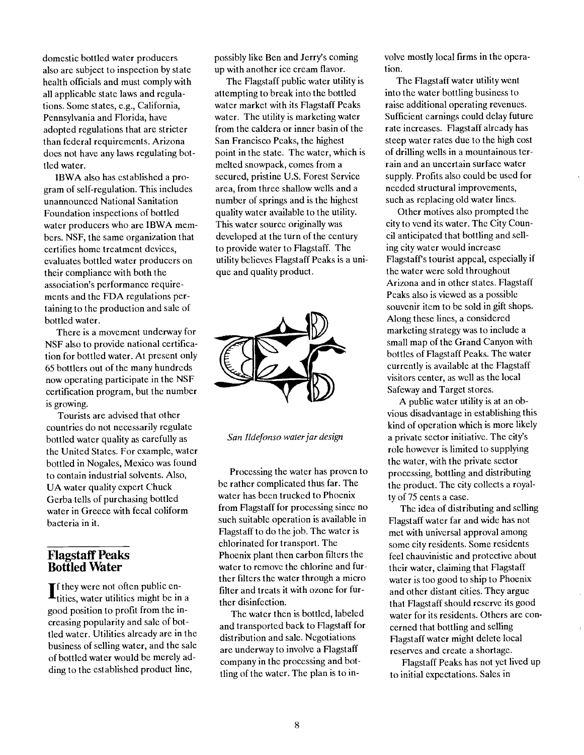domestic bottled water producers also are subject to inspection by state health officials and must comply with all applicable state laws and regulations. Some states, e.g., California, Pennsylvania and Florida, have adopted regulations that are stricter than federal requirements. Arizona does not have any laws regulating bottled water.

IBWA also has established a program of self-regulation. This includes unannounced National Sanitation Foundation inspections of bottled water producers who are IBWA members. NSF, the same organization that certifies home treatment devices, evaluates bottled water producers on their compliance with both the association's performance requirements and the FDA regulations pertaining to the production and sale of bottled water.

There is a movement underway for NSF also to provide national certification for bottled water. At present only 65 bottlers out of the many hundreds now operating participate in the NSF certification program, but the number is growing.

Tourists are advised that other countries do not necessarily regulate bottled water quality as carefully as the United States. For example, water bottled in Nogales, Mexico was found to contain industrial solvents. Also, UA water quality expert Chuck Gerba tells of purchasing bottled water in Greece with fecal coliform bacteria in it.

## Flagstaff Peaks Bottled Water

 $\prod_{\text{tities, water utilities might be in a}}$ good position to profit from the increasing popularity and sale of bottled water. Utilities already are in the business of selling water, and the sale of bottled water would be merely adding to the established product line,

possibly like Ben and Jerry's coming up with another ice cream flavor.

The Flagstaff public water utility is attempting to break into the bottled water market with its Flagstaff Peaks water. The utility is marketing water from the caldera or inner basin of the San Francisco Peaks, the highest point in the state. The water, which is melted snowpack, comes from a secured, pristine U.S. Forest Service area, from three shallow wells and a number of springs and is the highest quality water available to the utility. This water source originally was developed at the turn of the century to provide water to Flagstaff. The utility believes Flagstaff Peaks is a unique and quality product.



San Ildefonso water jar design

Processing the water has proven to be rather complicated thus far. The water has been trucked to Phoenix from Flagstaff for processing since no such suitable operation is available in Flagstaff to do the job. The water is chlorinated for transport. The Phoenix plant then carbon filters the water to remove the chlorine and further filters the water through a micro filter and treats it with ozone for further disinfection.

The water then is bottled, labeled and transported back to Flagstaff for distribution and sale. Negotiations are underway to involve a Flagstaff company in the processing and bottling of the water. The plan is to involve mostly local firms in the operation.

The Flagstaff water utility went into the water bottling business to raise additional operating revenues. Sufficient earnings could delay future rate increases. Flagstaff already has steep water rates due to the high cost of drilling wells in a mountainous terrain and an uncertain surface water supply. Profits also could be used for needed structural improvements, such as replacing old water lines.

Other motives also prompted the city to vend its water. The City Council anticipated that bottling and selling city water would increase FlagstafPs tourist appeal, especially if the water were sold throughout Arizona and in other states. Flagstaff Peaks also is viewed as a possible souvenir item to be sold in gift shops. Along these lines, a considered marketing strategy was to include a small map of the Grand Canyon with bottles of Flagstaff Peaks. The water currently is available at the Flagstaff visitors center, as well as the local Safeway and Target stores.

A public water utility is at an obvious disadvantage in establishing this kind of operation which is more likely a private sector initiative. The city's role however is limited to supplying the water, with the private sector processing, bottling and distributing the product. The city collects a royalty of 75 cents a case.

The idea of distributing and selling Flagstaff water far and wide has not met with universal approval among some city residents. Some residents feel chauvinistic and protective about their water, claiming that Flagstaff water is too good to ship to Phoenix and other distant cities. They argue that Flagstaff should reserve its good water for its residents. Others are concerned that bottling and selling Flagstaff water might delete local reserves and create a shortage.

Flagstaff Peaks has not yet lived up to initial expectations. Sales in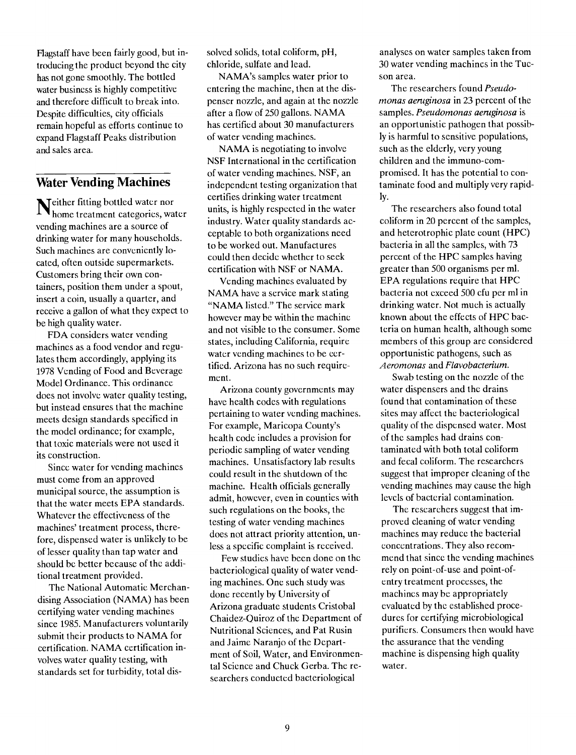Flagstaff have been fairly good, but introducing the product beyond the city has not gone smoothly. The bottled water business is highly competitive and therefore difficult to break into. Despite difficulties, city officials remain hopeful as efforts continue to expand Flagstaff Peaks distribution and sales area.

# Water Vending Machines

 $I$ N<sub>home treatmen</sub> fitting bottled water nor home treatment categories, water vending machines are a source of drinking water for many households. Such machines are conveniently located, often outside supermarkets. Customers bring their own containers, position them under a spout, insert a coin, usually a quarter, and receive a gallon of what they expect to be high quality water.

FDA considers water vending machines as a food vendor and regulates them accordingly, applying its 1978 Vending of Food and Beverage Model Ordinance. This ordinance does not involve water quality testing, but instead ensures that the machine meets design standards specified in the model ordinance; for example, that toxic materials were not used it its construction.

Since water for vending machines must come from an approved municipal source, the assumption is that the water meets EPA standards. Whatever the effectiveness of the machines' treatment process, therefore, dispensed water is unlikely to be of lesser quality than tap water and should be better because of the additional treatment provided.

The National Automatic Merchandising Association (NAMA) has been certifying water vending machines since 1985. Manufacturers voluntarily submit their products to NAMA for certification. NAMA certification involves water quality testing, with standards set for turbidity, total dissolved solids, total coliform, pH, chloride, sulfate and lead.

NAMA's samples water prior to entering the machine, then at the dispenser nozzle, and again at the nozzle after a flow of 250 gallons. NAMA has certified about 30 manufacturers of water vending machines.

NAMA is negotiating to involve NSF International in the certification of water vending machines. NSF, an independent testing organization that certifies drinking water treatment units, is highly respected in the water industry. Water quality standards acceptable to both organizations need to be worked out. Manufactures could then decide whether to seek certification with NSF or NAMA.

Vending machines evaluated by NAMA have a service mark stating "NAMA listed." The service mark however may be within the machine and not visible to the consumer. Some states, including California, require water vending machines to be certified. Arizona has no such requirement.

Arizona county governments may have health codes with regulations pertaining to water vending machines. For example, Maricopa County's health code includes a provision for periodic sampling of water vending machines. Unsatisfactory lab results could result in the shutdown of the machine. Health officials generally admit, however, even in counties with such regulations on the books, the testing of water vending machines does not attract priority attention, unless a specific complaint is received.

Few studies have been done on the bacteriological quality of water vending machines. One such study was donc recently by University of Arizona graduate students Cristobal Chaidez-Quiroz of the Department of Nutritional Sciences, and Pat Rusin and Jaime Naranjo of the Department of Soil, Water, and Environmental Science and Chuck Gerba. The researchers conducted bacteriological

analyses on water samples taken from 30 water vending machines in the Tucson area.

The researchers found Pseudomonas aeruginosa in 23 percent of the samples. Pseudomonas aeruginosa is an opportunistic pathogen that possibly is harmful to sensitive populations, such as the elderly, very young children and the immuno-compromised. It has the potential to contaminate food and multiply very rapidly.

The researchers also found total eoliform in 20 percent of the samples, and heterotrophic plate count (HPC) bacteria in all the samples, with 73 percent of the HPC samples having greater than 500 organisms per ml. EPA regulations require that HPC bacteria not exceed 500 cfu per ml in drinking water. Not much is actually known about the effects of HPC bacteria on human health, although some members of this group are considered opportunistic pathogens, such as Aeromonas and Flavobacterium.

Swab testing on the nozzle of the water dispensers and the drains found that contamination of these sites may affect the bacteriological quality of the dispensed water. Most of the samples had drains contaminated with both total coliform and fecal coliform. The researchers suggest that improper cleaning of the vending machines may cause the high levels of bacterial contamination.

The researchers suggest that improved cleaning of water vending machines may reduce the bacterial concentrations. They also recommend that since the vending machines rely on point-of-use and point-ofentry treatment processes, the machines may be appropriately evaluated by the established procedures for certifying microbiological purifiers. Consumers then would have the assurance that the vending machine is dispensing high quality water.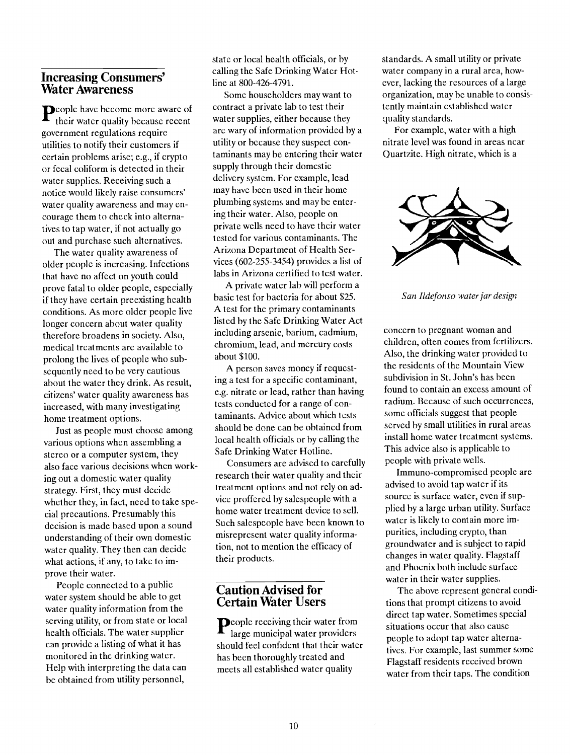#### Increasing Consumers' Water Awareness

people have become more aware of their water quality because recent government regulations require utilities to notify their customers if certain problems arise; e.g., if crypto or fecal coliform is detected in their water supplies. Receiving such a notice would likely raise consumers' water quality awareness and may encourage them to check into alternatives to tap water, if not actually go out and purchase such alternatives.

The water quality awareness of older people is increasing. Infections that have no affect on youth could prove fatal to older people, especially if they have certain preexisting health conditions. As more older people live longer concern about water quality therefore broadens in society. Also, medical treatments are available to prolong the lives of people who subsequently need to be very cautious about the water they drink. As result, citizens' water quality awareness has increased, with many investigating home treatment options.

Just as people must choose among various options when assembling a stereo or a computer system, they also face various decisions when working out a domestic water quality strategy. First, they must decide whether they, in fact, need to take special precautions. Presumably this decision is made based upon a sound understanding of their own domestic water quality. They then can decide what actions, if any, to take to improve their water.

People connected to a public water system should be able to get water quality information from the serving utility, or from state or local health officials. The water supplier can provide a listing of what it has monitored in the drinking water. Help with interpreting the data can be obtained from utility personnel,

state or local health officials, or by calling the Safe Drinking Water Hotline at 800-426-4791.

Some householders may want to contract a private lab to test their water supplies, either because they are wary of information provided by a utility or because they suspect contaminants may be entering their water supply through their domestic delivery system. For example, lead may have been used in their home plumbing systems and maybe entering their water. Also, people on private wells need to have their water tested for various contaminants. The Arizona Department of Health Services (602-255-3454) provides a list of labs in Arizona certified to test water.

A private water lab will perform a basic test for bacteria for about \$25. A test for the primary contaminants listed by the Safe Drinking Water Act including arsenic, barium, cadmium, chromium, lead, and mercury costs about \$100.

A person saves money if requesting a test for a specific contaminant, e.g. nitrate or lead, rather than having tests conducted for a range of contaminants. Advice about which tests should be done can be obtained from local health officials or by calling the Safe Drinking Water Hotline.

Consumers are advised to carefully research their water quality and their treatment options and not rely on advice proffered by salespeople with a home water treatment device to sell. Such salespeople have been known to misrepresent water quality information, not to mention the efficacy of their products.

#### Caution Advised for Certain Water Users

People receiving their water from<br>large municipal water providers situations large municipal water providers should feel confident that their water has been thoroughly treated and meets all established water quality

standards. A small utility or private water company in a rural area, however, lacking the resources of a large organization, may be unable to consistently maintain established water quality standards.

For example, water with a high nitrate level was found in areas near Quartzite. High nitrate, which is a



San Ildefonso water jar design

concern to pregnant woman and children, often comes from fertilizers. Also, the drinking water provided to the residents of the Mountain View subdivision in St. John's has been found to contain an excess amount of radium. Because of such occurrences, some officials suggest that people served by small utilities in rural areas install home water treatment systems. This advice also is applicable to people with private wells.

Immuno-compromiscd people are advised to avoid tap water if its source is surface water, even if supplied by a large urban utility. Surface water is likely to contain more impurities, including crypto, than groundwater and is subject to rapid changes in water quality. Flagstaff and Phoenix both include surface water in their water supplies.

The above represent general conditions that prompt citizens to avoid direct tap water. Sometimes special situations occur that also cause people to adopt tap water alternatives. For example, last summer some Flagstaff residents received brown water from their taps. The condition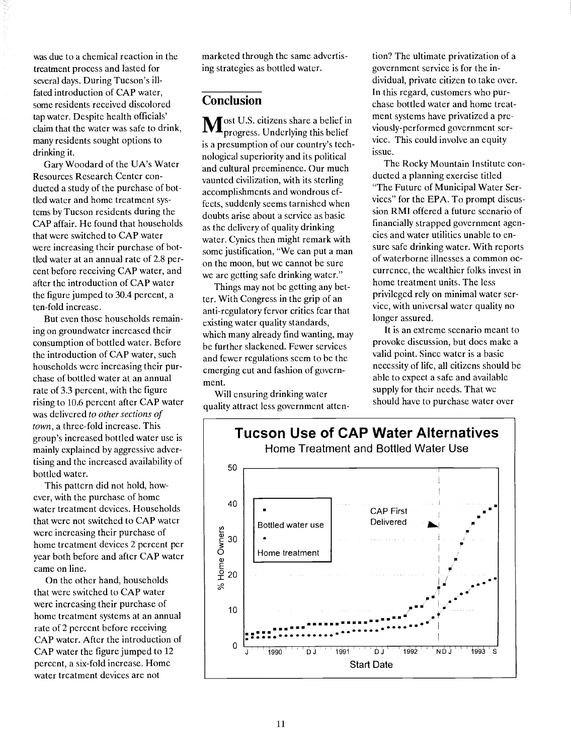was due to a chemical reaction in the treatment process and lasted for several days. During Tucson's illfated introduction of CAP water, some residents received discolored tap water. Despite health officials' claim that the water was safe to drink, many residents sought options to drinking it.

Gary Woodard of the UA's Water Resources Research Center conducted a study of the purchase of bottled water and home treatment systems by Tucson residents during the CAP affair. He found that households that were switched to CAP water were increasing their purchase of bottled water at an annual rate of 2.8 percent before receiving CAP water, and after the introduction of CAP water the figure jumped to 30.4 percent, a ten-fold increase.

But even those households remaining on groundwater increased their consumption of bottled water. Before the introduction of CAP water, such households were increasing their purchase of bottled water at an annual rate of 3.3 percent, with the figure rising to 10.6 percent after CAP water was delivered to other sections of town, a three-fold increase. This group's increased bottled water use is mainly explained by aggressive advertising and the increased availability of bottled water.

This pattern did not hold, however, with the purchase of home water treatment devices. Households that were not switched to CAP water were increasing their purchase of home treatment devices 2 percent per year both before and after CAP water came on line.

On the other hand, households that were switched to CAP water were increasing their purchase of home treatment systems at an annual rate of 2 percent before receiving CAP water. After the introduction of CAP water the figure jumped to 12 percent, a six-fold increase. Home water treatment devices are not

marketed through the same advertising strategies as bottled water.

# Conclusion

Most U.S. citizens share a belief in progress. Underlying this belief is a presumption of our country's technological superiority and its political and cultural preeminence. Our much vaunted civilization, with its sterling accomplishments and wondrous effects, suddenly seems tarnished when doubts arise about a service as basic as the delivery of quality drinking water. Cynics then might remark with some justification, "We can put a man on the moon, but we cannot be sure we are getting safe drinking water."

Things may not be getting any better. With Congress in the grip of an anti-regulatory fervor critics fear that existing water quality standards, which many already find wanting, may be further slackened. Fewer services and fewer regulations seem to be the emerging cut and fashion of government.

Will ensuring drinking water quality attract less government attention? The ultimate privatization of a government service is for the individual, private citizen to take over. In this regard, customers who purchase bottled water and home treatment systems have privatized a previously-performed government service. This could involve an equity issue.

The Rocky Mountain Institute conducted a planning exercise titled "The Future of Municipal Water Services" for the EPA. To prompt discussion RMI offered a future scenario of financially strapped government agencies and water utilities unable to ensure safe drinking water. With reports of waterborne illnesses a common occurrence, the wealthier folks invest in home treatment units. The less privileged rely on minimal water service, with universal water quality no longer assured.

It is an extreme scenario meant to provoke discussion, but does make a valid point. Since water is a basic necessity of life, all citizens should be able to expect a safe and available supply for their needs. That we should have to purchase water over